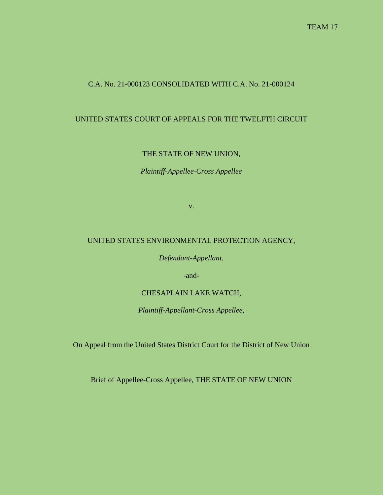### C.A. No. 21-000123 CONSOLIDATED WITH C.A. No. 21-000124

#### UNITED STATES COURT OF APPEALS FOR THE TWELFTH CIRCUIT

#### THE STATE OF NEW UNION,

*Plaintiff-Appellee-Cross Appellee*

v.

### UNITED STATES ENVIRONMENTAL PROTECTION AGENCY,

*Defendant-Appellant.*

-and-

### CHESAPLAIN LAKE WATCH,

*Plaintiff-Appellant-Cross Appellee,*

On Appeal from the United States District Court for the District of New Union

Brief of Appellee-Cross Appellee, THE STATE OF NEW UNION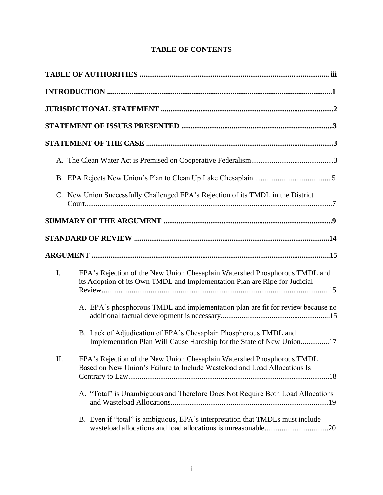|     | C. New Union Successfully Challenged EPA's Rejection of its TMDL in the District                                                                         |
|-----|----------------------------------------------------------------------------------------------------------------------------------------------------------|
|     |                                                                                                                                                          |
|     |                                                                                                                                                          |
|     |                                                                                                                                                          |
| I.  | EPA's Rejection of the New Union Chesaplain Watershed Phosphorous TMDL and<br>its Adoption of its Own TMDL and Implementation Plan are Ripe for Judicial |
|     | A. EPA's phosphorous TMDL and implementation plan are fit for review because no                                                                          |
|     | B. Lack of Adjudication of EPA's Chesaplain Phosphorous TMDL and<br>Implementation Plan Will Cause Hardship for the State of New Union17                 |
| II. | EPA's Rejection of the New Union Chesaplain Watershed Phosphorous TMDL<br>Based on New Union's Failure to Include Wasteload and Load Allocations Is      |
|     | A. "Total" is Unambiguous and Therefore Does Not Require Both Load Allocations                                                                           |
|     | B. Even if "total" is ambiguous, EPA's interpretation that TMDLs must include                                                                            |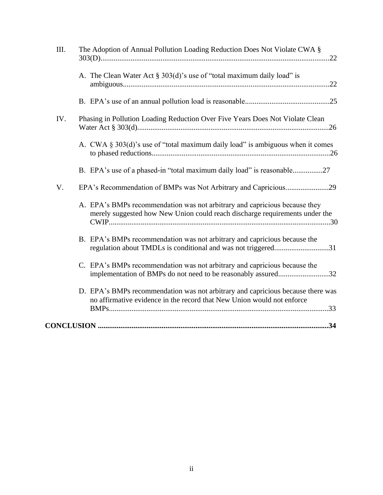| III. | The Adoption of Annual Pollution Loading Reduction Does Not Violate CWA §<br>.22                                                                          |
|------|-----------------------------------------------------------------------------------------------------------------------------------------------------------|
|      | A. The Clean Water Act $\S 303(d)$ 's use of "total maximum daily load" is                                                                                |
|      |                                                                                                                                                           |
| IV.  | Phasing in Pollution Loading Reduction Over Five Years Does Not Violate Clean                                                                             |
|      | A. CWA $\S 303(d)$ 's use of "total maximum daily load" is ambiguous when it comes                                                                        |
|      | B. EPA's use of a phased-in "total maximum daily load" is reasonable27                                                                                    |
| V.   |                                                                                                                                                           |
|      | A. EPA's BMPs recommendation was not arbitrary and capricious because they<br>merely suggested how New Union could reach discharge requirements under the |
|      | B. EPA's BMPs recommendation was not arbitrary and capricious because the<br>regulation about TMDLs is conditional and was not triggered31                |
|      | C. EPA's BMPs recommendation was not arbitrary and capricious because the<br>implementation of BMPs do not need to be reasonably assured32                |
|      | D. EPA's BMPs recommendation was not arbitrary and capricious because there was<br>no affirmative evidence in the record that New Union would not enforce |
|      |                                                                                                                                                           |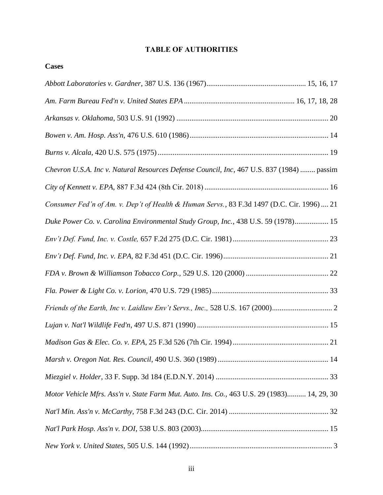# **TABLE OF AUTHORITIES**

# **Cases**

| Chevron U.S.A. Inc v. Natural Resources Defense Council, Inc, 467 U.S. 837 (1984)  passim  |
|--------------------------------------------------------------------------------------------|
|                                                                                            |
| Consumer Fed'n of Am. v. Dep't of Health & Human Servs., 83 F.3d 1497 (D.C. Cir. 1996)  21 |
| Duke Power Co. v. Carolina Environmental Study Group, Inc., 438 U.S. 59 (1978) 15          |
|                                                                                            |
|                                                                                            |
|                                                                                            |
|                                                                                            |
|                                                                                            |
|                                                                                            |
|                                                                                            |
|                                                                                            |
|                                                                                            |
| Motor Vehicle Mfrs. Ass'n v. State Farm Mut. Auto. Ins. Co., 463 U.S. 29 (1983) 14, 29, 30 |
|                                                                                            |
|                                                                                            |
|                                                                                            |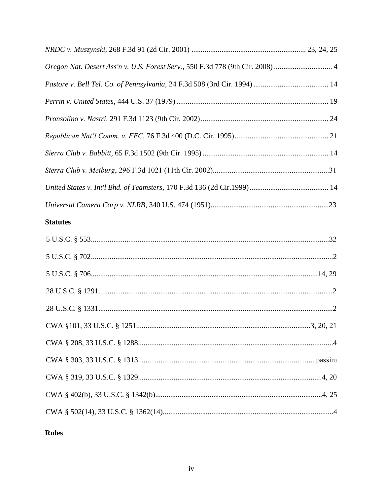# Rules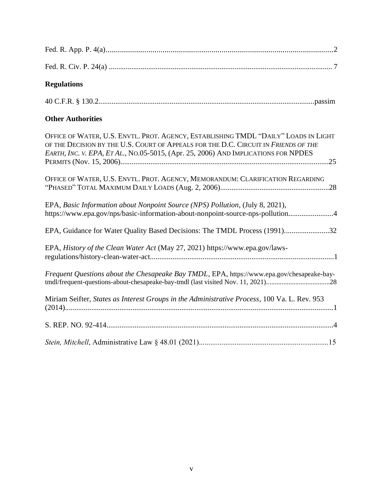| <b>Regulations</b>                                                                                                                                                                                                                                               |
|------------------------------------------------------------------------------------------------------------------------------------------------------------------------------------------------------------------------------------------------------------------|
|                                                                                                                                                                                                                                                                  |
| <b>Other Authorities</b>                                                                                                                                                                                                                                         |
| OFFICE OF WATER, U.S. ENVTL. PROT. AGENCY, ESTABLISHING TMDL "DAILY" LOADS IN LIGHT<br>OF THE DECISION BY THE U.S. COURT OF APPEALS FOR THE D.C. CIRCUIT IN FRIENDS OF THE<br>EARTH, INC. V. EPA, ET AL., NO.05-5015, (Apr. 25, 2006) AND IMPLICATIONS FOR NPDES |
| OFFICE OF WATER, U.S. ENVTL. PROT. AGENCY, MEMORANDUM: CLARIFICATION REGARDING                                                                                                                                                                                   |
| EPA, Basic Information about Nonpoint Source (NPS) Pollution, (July 8, 2021),<br>https://www.epa.gov/nps/basic-information-about-nonpoint-source-nps-pollution4                                                                                                  |
| EPA, Guidance for Water Quality Based Decisions: The TMDL Process (1991)32                                                                                                                                                                                       |
| EPA, History of the Clean Water Act (May 27, 2021) https://www.epa.gov/laws-                                                                                                                                                                                     |
| Frequent Questions about the Chesapeake Bay TMDL, EPA, https://www.epa.gov/chesapeake-bay-<br>tmdl/frequent-questions-about-chesapeake-bay-tmdl (last visited Nov. 11, 2021)28                                                                                   |
| Miriam Seifter, States as Interest Groups in the Administrative Process, 100 Va. L. Rev. 953                                                                                                                                                                     |
|                                                                                                                                                                                                                                                                  |
|                                                                                                                                                                                                                                                                  |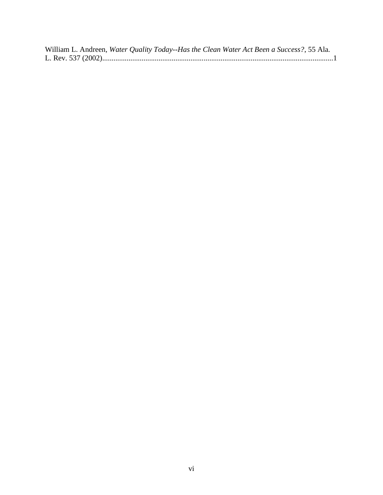| William L. Andreen, Water Quality Today--Has the Clean Water Act Been a Success?, 55 Ala. |  |
|-------------------------------------------------------------------------------------------|--|
|                                                                                           |  |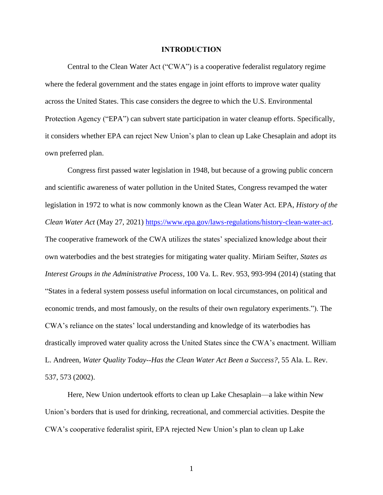#### **INTRODUCTION**

Central to the Clean Water Act ("CWA") is a cooperative federalist regulatory regime where the federal government and the states engage in joint efforts to improve water quality across the United States. This case considers the degree to which the U.S. Environmental Protection Agency ("EPA") can subvert state participation in water cleanup efforts. Specifically, it considers whether EPA can reject New Union's plan to clean up Lake Chesaplain and adopt its own preferred plan.

Congress first passed water legislation in 1948, but because of a growing public concern and scientific awareness of water pollution in the United States, Congress revamped the water legislation in 1972 to what is now commonly known as the Clean Water Act. EPA, *History of the Clean Water Act* (May 27, 2021) [https://www.epa.gov/laws-regulations/history-clean-water-act.](https://www.epa.gov/laws-regulations/history-clean-water-act) The cooperative framework of the CWA utilizes the states' specialized knowledge about their own waterbodies and the best strategies for mitigating water quality. Miriam Seifter, *States as Interest Groups in the Administrative Process*, 100 Va. L. Rev. 953, 993-994 (2014) (stating that "States in a federal system possess useful information on local circumstances, on political and economic trends, and most famously, on the results of their own regulatory experiments."). The CWA's reliance on the states' local understanding and knowledge of its waterbodies has drastically improved water quality across the United States since the CWA's enactment. William L. Andreen, *Water Quality Today--Has the Clean Water Act Been a Success?*, 55 Ala. L. Rev. 537, 573 (2002).

Here, New Union undertook efforts to clean up Lake Chesaplain—a lake within New Union's borders that is used for drinking, recreational, and commercial activities. Despite the CWA's cooperative federalist spirit, EPA rejected New Union's plan to clean up Lake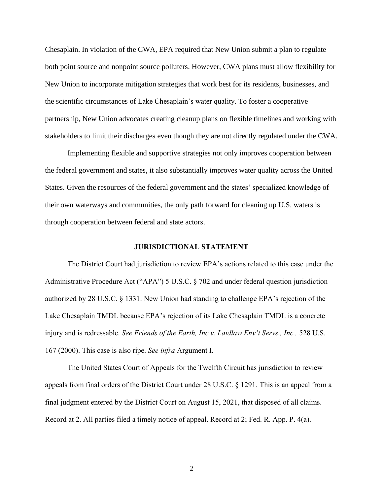Chesaplain. In violation of the CWA, EPA required that New Union submit a plan to regulate both point source and nonpoint source polluters. However, CWA plans must allow flexibility for New Union to incorporate mitigation strategies that work best for its residents, businesses, and the scientific circumstances of Lake Chesaplain's water quality. To foster a cooperative partnership, New Union advocates creating cleanup plans on flexible timelines and working with stakeholders to limit their discharges even though they are not directly regulated under the CWA.

Implementing flexible and supportive strategies not only improves cooperation between the federal government and states, it also substantially improves water quality across the United States. Given the resources of the federal government and the states' specialized knowledge of their own waterways and communities, the only path forward for cleaning up U.S. waters is through cooperation between federal and state actors.

#### **JURISDICTIONAL STATEMENT**

The District Court had jurisdiction to review EPA's actions related to this case under the Administrative Procedure Act ("APA") 5 U.S.C. § 702 and under federal question jurisdiction authorized by 28 U.S.C. § 1331. New Union had standing to challenge EPA's rejection of the Lake Chesaplain TMDL because EPA's rejection of its Lake Chesaplain TMDL is a concrete injury and is redressable. *See Friends of the Earth, Inc v. Laidlaw Env't Servs., Inc.,* 528 U.S. 167 (2000). This case is also ripe. *See infra* Argument I.

The United States Court of Appeals for the Twelfth Circuit has jurisdiction to review appeals from final orders of the District Court under 28 U.S.C. § 1291. This is an appeal from a final judgment entered by the District Court on August 15, 2021, that disposed of all claims. Record at 2. All parties filed a timely notice of appeal. Record at 2; Fed. R. App. P. 4(a).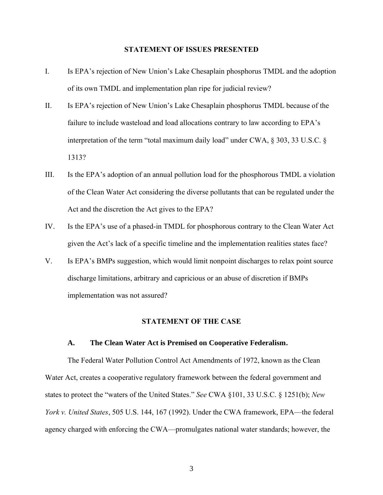#### **STATEMENT OF ISSUES PRESENTED**

- I. Is EPA's rejection of New Union's Lake Chesaplain phosphorus TMDL and the adoption of its own TMDL and implementation plan ripe for judicial review?
- II. Is EPA's rejection of New Union's Lake Chesaplain phosphorus TMDL because of the failure to include wasteload and load allocations contrary to law according to EPA's interpretation of the term "total maximum daily load" under CWA, § 303, 33 U.S.C. § 1313?
- III. Is the EPA's adoption of an annual pollution load for the phosphorous TMDL a violation of the Clean Water Act considering the diverse pollutants that can be regulated under the Act and the discretion the Act gives to the EPA?
- IV. Is the EPA's use of a phased-in TMDL for phosphorous contrary to the Clean Water Act given the Act's lack of a specific timeline and the implementation realities states face?
- V. Is EPA's BMPs suggestion, which would limit nonpoint discharges to relax point source discharge limitations, arbitrary and capricious or an abuse of discretion if BMPs implementation was not assured?

#### **STATEMENT OF THE CASE**

#### **A. The Clean Water Act is Premised on Cooperative Federalism.**

The Federal Water Pollution Control Act Amendments of 1972, known as the Clean Water Act, creates a cooperative regulatory framework between the federal government and states to protect the "waters of the United States." *See* CWA §101, 33 U.S.C. § 1251(b); *New York v. United States*, 505 U.S. 144, 167 (1992). Under the CWA framework, EPA—the federal agency charged with enforcing the CWA—promulgates national water standards; however, the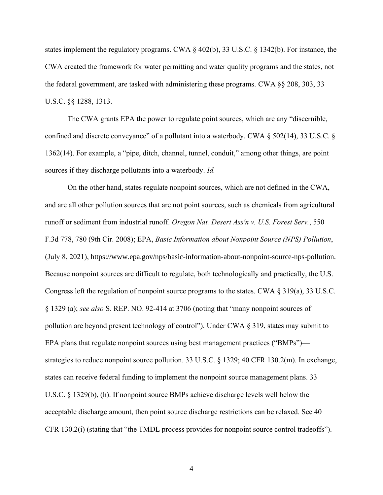states implement the regulatory programs. CWA § 402(b), 33 U.S.C. § 1342(b). For instance, the CWA created the framework for water permitting and water quality programs and the states, not the federal government, are tasked with administering these programs. CWA §§ 208, 303, 33 U.S.C. §§ 1288, 1313.

The CWA grants EPA the power to regulate point sources, which are any "discernible, confined and discrete conveyance" of a pollutant into a waterbody. CWA § 502(14), 33 U.S.C. § 1362(14). For example, a "pipe, ditch, channel, tunnel, conduit," among other things, are point sources if they discharge pollutants into a waterbody. *Id.*

On the other hand, states regulate nonpoint sources, which are not defined in the CWA, and are all other pollution sources that are not point sources, such as chemicals from agricultural runoff or sediment from industrial runoff. *Oregon Nat. Desert Ass'n v. U.S. Forest Serv.*, 550 F.3d 778, 780 (9th Cir. 2008); EPA, *Basic Information about Nonpoint Source (NPS) Pollution*, (July 8, 2021), https://www.epa.gov/nps/basic-information-about-nonpoint-source-nps-pollution. Because nonpoint sources are difficult to regulate, both technologically and practically, the U.S. Congress left the regulation of nonpoint source programs to the states. CWA § 319(a), 33 U.S.C. § 1329 (a); *see also* S. REP. NO. 92-414 at 3706 (noting that "many nonpoint sources of pollution are beyond present technology of control"). Under CWA § 319, states may submit to EPA plans that regulate nonpoint sources using best management practices ("BMPs") strategies to reduce nonpoint source pollution. 33 U.S.C. § 1329; 40 CFR 130.2(m). In exchange, states can receive federal funding to implement the nonpoint source management plans. 33 U.S.C. § 1329(b), (h). If nonpoint source BMPs achieve discharge levels well below the acceptable discharge amount, then point source discharge restrictions can be relaxed. See 40 CFR 130.2(i) (stating that "the TMDL process provides for nonpoint source control tradeoffs").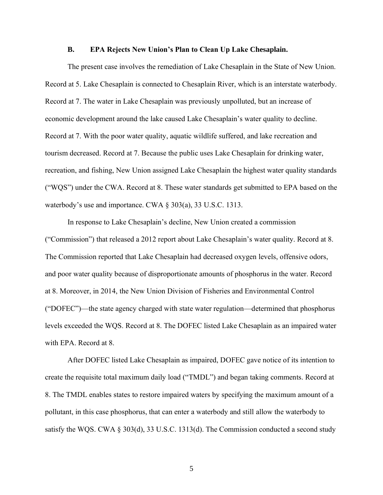#### **B. EPA Rejects New Union's Plan to Clean Up Lake Chesaplain.**

The present case involves the remediation of Lake Chesaplain in the State of New Union. Record at 5. Lake Chesaplain is connected to Chesaplain River, which is an interstate waterbody. Record at 7. The water in Lake Chesaplain was previously unpolluted, but an increase of economic development around the lake caused Lake Chesaplain's water quality to decline. Record at 7. With the poor water quality, aquatic wildlife suffered, and lake recreation and tourism decreased. Record at 7. Because the public uses Lake Chesaplain for drinking water, recreation, and fishing, New Union assigned Lake Chesaplain the highest water quality standards ("WQS") under the CWA. Record at 8. These water standards get submitted to EPA based on the waterbody's use and importance. CWA § 303(a), 33 U.S.C. 1313.

In response to Lake Chesaplain's decline, New Union created a commission ("Commission") that released a 2012 report about Lake Chesaplain's water quality. Record at 8. The Commission reported that Lake Chesaplain had decreased oxygen levels, offensive odors, and poor water quality because of disproportionate amounts of phosphorus in the water. Record at 8. Moreover, in 2014, the New Union Division of Fisheries and Environmental Control ("DOFEC")—the state agency charged with state water regulation—determined that phosphorus levels exceeded the WQS. Record at 8. The DOFEC listed Lake Chesaplain as an impaired water with EPA. Record at 8.

After DOFEC listed Lake Chesaplain as impaired, DOFEC gave notice of its intention to create the requisite total maximum daily load ("TMDL") and began taking comments. Record at 8. The TMDL enables states to restore impaired waters by specifying the maximum amount of a pollutant, in this case phosphorus, that can enter a waterbody and still allow the waterbody to satisfy the WQS. CWA § 303(d), 33 U.S.C. 1313(d). The Commission conducted a second study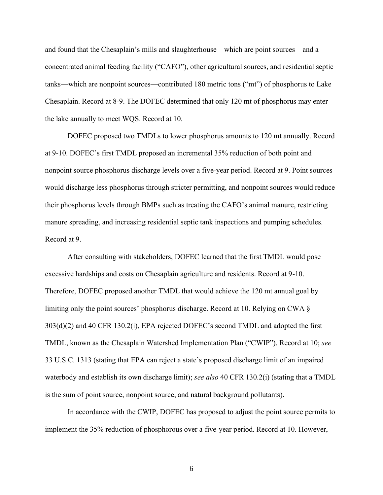and found that the Chesaplain's mills and slaughterhouse—which are point sources—and a concentrated animal feeding facility ("CAFO"), other agricultural sources, and residential septic tanks—which are nonpoint sources—contributed 180 metric tons ("mt") of phosphorus to Lake Chesaplain. Record at 8-9. The DOFEC determined that only 120 mt of phosphorus may enter the lake annually to meet WQS. Record at 10.

DOFEC proposed two TMDLs to lower phosphorus amounts to 120 mt annually. Record at 9-10. DOFEC's first TMDL proposed an incremental 35% reduction of both point and nonpoint source phosphorus discharge levels over a five-year period. Record at 9. Point sources would discharge less phosphorus through stricter permitting, and nonpoint sources would reduce their phosphorus levels through BMPs such as treating the CAFO's animal manure, restricting manure spreading, and increasing residential septic tank inspections and pumping schedules. Record at 9.

After consulting with stakeholders, DOFEC learned that the first TMDL would pose excessive hardships and costs on Chesaplain agriculture and residents. Record at 9-10. Therefore, DOFEC proposed another TMDL that would achieve the 120 mt annual goal by limiting only the point sources' phosphorus discharge. Record at 10. Relying on CWA § 303(d)(2) and 40 CFR 130.2(i), EPA rejected DOFEC's second TMDL and adopted the first TMDL, known as the Chesaplain Watershed Implementation Plan ("CWIP"). Record at 10; *see*  33 U.S.C. 1313 (stating that EPA can reject a state's proposed discharge limit of an impaired waterbody and establish its own discharge limit); *see also* 40 CFR 130.2(i) (stating that a TMDL is the sum of point source, nonpoint source, and natural background pollutants).

In accordance with the CWIP, DOFEC has proposed to adjust the point source permits to implement the 35% reduction of phosphorous over a five-year period. Record at 10. However,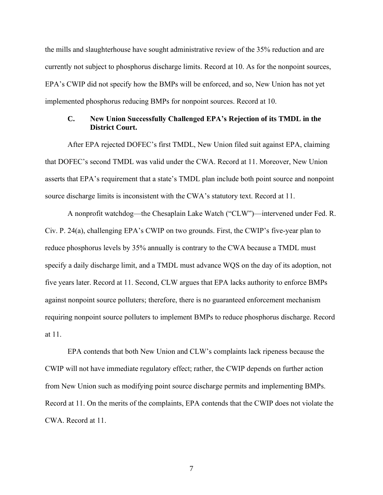the mills and slaughterhouse have sought administrative review of the 35% reduction and are currently not subject to phosphorus discharge limits. Record at 10. As for the nonpoint sources, EPA's CWIP did not specify how the BMPs will be enforced, and so, New Union has not yet implemented phosphorus reducing BMPs for nonpoint sources. Record at 10.

### **C. New Union Successfully Challenged EPA's Rejection of its TMDL in the District Court.**

After EPA rejected DOFEC's first TMDL, New Union filed suit against EPA, claiming that DOFEC's second TMDL was valid under the CWA. Record at 11. Moreover, New Union asserts that EPA's requirement that a state's TMDL plan include both point source and nonpoint source discharge limits is inconsistent with the CWA's statutory text. Record at 11.

A nonprofit watchdog—the Chesaplain Lake Watch ("CLW")—intervened under Fed. R. Civ. P. 24(a), challenging EPA's CWIP on two grounds. First, the CWIP's five-year plan to reduce phosphorus levels by 35% annually is contrary to the CWA because a TMDL must specify a daily discharge limit, and a TMDL must advance WQS on the day of its adoption, not five years later. Record at 11. Second, CLW argues that EPA lacks authority to enforce BMPs against nonpoint source polluters; therefore, there is no guaranteed enforcement mechanism requiring nonpoint source polluters to implement BMPs to reduce phosphorus discharge. Record at 11.

EPA contends that both New Union and CLW's complaints lack ripeness because the CWIP will not have immediate regulatory effect; rather, the CWIP depends on further action from New Union such as modifying point source discharge permits and implementing BMPs. Record at 11. On the merits of the complaints, EPA contends that the CWIP does not violate the CWA. Record at 11.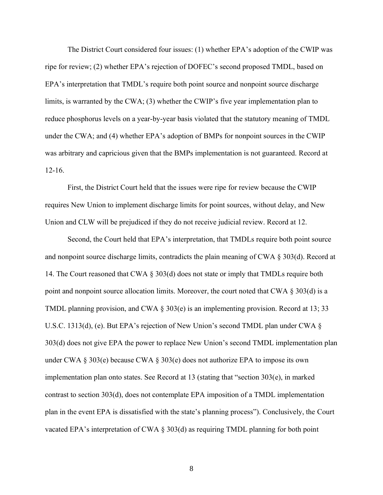The District Court considered four issues: (1) whether EPA's adoption of the CWIP was ripe for review; (2) whether EPA's rejection of DOFEC's second proposed TMDL, based on EPA's interpretation that TMDL's require both point source and nonpoint source discharge limits, is warranted by the CWA; (3) whether the CWIP's five year implementation plan to reduce phosphorus levels on a year-by-year basis violated that the statutory meaning of TMDL under the CWA; and (4) whether EPA's adoption of BMPs for nonpoint sources in the CWIP was arbitrary and capricious given that the BMPs implementation is not guaranteed. Record at 12-16.

First, the District Court held that the issues were ripe for review because the CWIP requires New Union to implement discharge limits for point sources, without delay, and New Union and CLW will be prejudiced if they do not receive judicial review. Record at 12.

Second, the Court held that EPA's interpretation, that TMDLs require both point source and nonpoint source discharge limits, contradicts the plain meaning of CWA § 303(d). Record at 14. The Court reasoned that CWA § 303(d) does not state or imply that TMDLs require both point and nonpoint source allocation limits. Moreover, the court noted that CWA § 303(d) is a TMDL planning provision, and CWA § 303(e) is an implementing provision. Record at 13; 33 U.S.C. 1313(d), (e). But EPA's rejection of New Union's second TMDL plan under CWA § 303(d) does not give EPA the power to replace New Union's second TMDL implementation plan under CWA  $\S 303(e)$  because CWA  $\S 303(e)$  does not authorize EPA to impose its own implementation plan onto states. See Record at 13 (stating that "section 303(e), in marked contrast to section 303(d), does not contemplate EPA imposition of a TMDL implementation plan in the event EPA is dissatisfied with the state's planning process"). Conclusively, the Court vacated EPA's interpretation of CWA § 303(d) as requiring TMDL planning for both point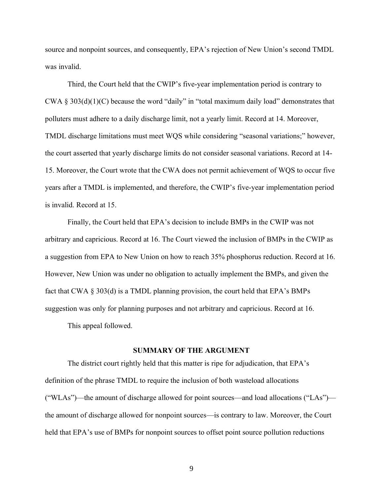source and nonpoint sources, and consequently, EPA's rejection of New Union's second TMDL was invalid.

Third, the Court held that the CWIP's five-year implementation period is contrary to CWA § 303(d)(1)(C) because the word "daily" in "total maximum daily load" demonstrates that polluters must adhere to a daily discharge limit, not a yearly limit. Record at 14. Moreover, TMDL discharge limitations must meet WQS while considering "seasonal variations;" however, the court asserted that yearly discharge limits do not consider seasonal variations. Record at 14- 15. Moreover, the Court wrote that the CWA does not permit achievement of WQS to occur five years after a TMDL is implemented, and therefore, the CWIP's five-year implementation period is invalid. Record at 15.

Finally, the Court held that EPA's decision to include BMPs in the CWIP was not arbitrary and capricious. Record at 16. The Court viewed the inclusion of BMPs in the CWIP as a suggestion from EPA to New Union on how to reach 35% phosphorus reduction. Record at 16. However, New Union was under no obligation to actually implement the BMPs, and given the fact that CWA § 303(d) is a TMDL planning provision, the court held that EPA's BMPs suggestion was only for planning purposes and not arbitrary and capricious. Record at 16.

This appeal followed.

#### **SUMMARY OF THE ARGUMENT**

The district court rightly held that this matter is ripe for adjudication, that EPA's definition of the phrase TMDL to require the inclusion of both wasteload allocations ("WLAs")—the amount of discharge allowed for point sources—and load allocations ("LAs") the amount of discharge allowed for nonpoint sources—is contrary to law. Moreover, the Court held that EPA's use of BMPs for nonpoint sources to offset point source pollution reductions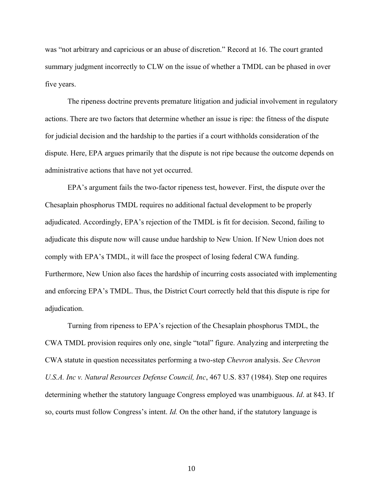was "not arbitrary and capricious or an abuse of discretion." Record at 16. The court granted summary judgment incorrectly to CLW on the issue of whether a TMDL can be phased in over five years.

The ripeness doctrine prevents premature litigation and judicial involvement in regulatory actions. There are two factors that determine whether an issue is ripe: the fitness of the dispute for judicial decision and the hardship to the parties if a court withholds consideration of the dispute. Here, EPA argues primarily that the dispute is not ripe because the outcome depends on administrative actions that have not yet occurred.

EPA's argument fails the two-factor ripeness test, however. First, the dispute over the Chesaplain phosphorus TMDL requires no additional factual development to be properly adjudicated. Accordingly, EPA's rejection of the TMDL is fit for decision. Second, failing to adjudicate this dispute now will cause undue hardship to New Union. If New Union does not comply with EPA's TMDL, it will face the prospect of losing federal CWA funding. Furthermore, New Union also faces the hardship of incurring costs associated with implementing and enforcing EPA's TMDL. Thus, the District Court correctly held that this dispute is ripe for adjudication.

Turning from ripeness to EPA's rejection of the Chesaplain phosphorus TMDL, the CWA TMDL provision requires only one, single "total" figure. Analyzing and interpreting the CWA statute in question necessitates performing a two-step *Chevron* analysis. *See Chevron U.S.A. Inc v. Natural Resources Defense Council, Inc*, 467 U.S. 837 (1984). Step one requires determining whether the statutory language Congress employed was unambiguous. *Id*. at 843. If so, courts must follow Congress's intent. *Id.* On the other hand, if the statutory language is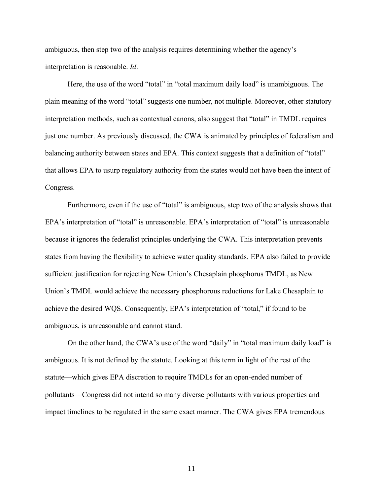ambiguous, then step two of the analysis requires determining whether the agency's interpretation is reasonable. *Id*.

Here, the use of the word "total" in "total maximum daily load" is unambiguous. The plain meaning of the word "total" suggests one number, not multiple. Moreover, other statutory interpretation methods, such as contextual canons, also suggest that "total" in TMDL requires just one number. As previously discussed, the CWA is animated by principles of federalism and balancing authority between states and EPA. This context suggests that a definition of "total" that allows EPA to usurp regulatory authority from the states would not have been the intent of Congress.

Furthermore, even if the use of "total" is ambiguous, step two of the analysis shows that EPA's interpretation of "total" is unreasonable. EPA's interpretation of "total" is unreasonable because it ignores the federalist principles underlying the CWA. This interpretation prevents states from having the flexibility to achieve water quality standards. EPA also failed to provide sufficient justification for rejecting New Union's Chesaplain phosphorus TMDL, as New Union's TMDL would achieve the necessary phosphorous reductions for Lake Chesaplain to achieve the desired WQS. Consequently, EPA's interpretation of "total," if found to be ambiguous, is unreasonable and cannot stand.

On the other hand, the CWA's use of the word "daily" in "total maximum daily load" is ambiguous. It is not defined by the statute. Looking at this term in light of the rest of the statute—which gives EPA discretion to require TMDLs for an open-ended number of pollutants—Congress did not intend so many diverse pollutants with various properties and impact timelines to be regulated in the same exact manner. The CWA gives EPA tremendous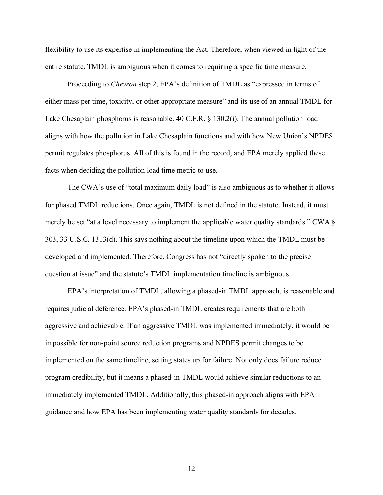flexibility to use its expertise in implementing the Act. Therefore, when viewed in light of the entire statute, TMDL is ambiguous when it comes to requiring a specific time measure.

Proceeding to *Chevron* step 2, EPA's definition of TMDL as "expressed in terms of either mass per time, toxicity, or other appropriate measure" and its use of an annual TMDL for Lake Chesaplain phosphorus is reasonable. 40 C.F.R. § 130.2(i). The annual pollution load aligns with how the pollution in Lake Chesaplain functions and with how New Union's NPDES permit regulates phosphorus. All of this is found in the record, and EPA merely applied these facts when deciding the pollution load time metric to use.

The CWA's use of "total maximum daily load" is also ambiguous as to whether it allows for phased TMDL reductions. Once again, TMDL is not defined in the statute. Instead, it must merely be set "at a level necessary to implement the applicable water quality standards." CWA § 303, 33 U.S.C. 1313(d). This says nothing about the timeline upon which the TMDL must be developed and implemented. Therefore, Congress has not "directly spoken to the precise question at issue" and the statute's TMDL implementation timeline is ambiguous.

EPA's interpretation of TMDL, allowing a phased-in TMDL approach, is reasonable and requires judicial deference. EPA's phased-in TMDL creates requirements that are both aggressive and achievable. If an aggressive TMDL was implemented immediately, it would be impossible for non-point source reduction programs and NPDES permit changes to be implemented on the same timeline, setting states up for failure. Not only does failure reduce program credibility, but it means a phased-in TMDL would achieve similar reductions to an immediately implemented TMDL. Additionally, this phased-in approach aligns with EPA guidance and how EPA has been implementing water quality standards for decades.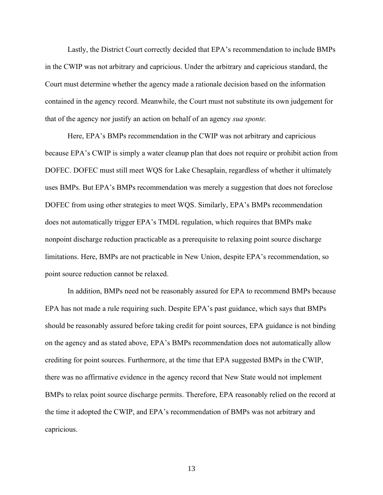Lastly, the District Court correctly decided that EPA's recommendation to include BMPs in the CWIP was not arbitrary and capricious. Under the arbitrary and capricious standard, the Court must determine whether the agency made a rationale decision based on the information contained in the agency record. Meanwhile, the Court must not substitute its own judgement for that of the agency nor justify an action on behalf of an agency *sua sponte.* 

Here, EPA's BMPs recommendation in the CWIP was not arbitrary and capricious because EPA's CWIP is simply a water cleanup plan that does not require or prohibit action from DOFEC. DOFEC must still meet WQS for Lake Chesaplain, regardless of whether it ultimately uses BMPs. But EPA's BMPs recommendation was merely a suggestion that does not foreclose DOFEC from using other strategies to meet WQS. Similarly, EPA's BMPs recommendation does not automatically trigger EPA's TMDL regulation, which requires that BMPs make nonpoint discharge reduction practicable as a prerequisite to relaxing point source discharge limitations. Here, BMPs are not practicable in New Union, despite EPA's recommendation, so point source reduction cannot be relaxed.

In addition, BMPs need not be reasonably assured for EPA to recommend BMPs because EPA has not made a rule requiring such. Despite EPA's past guidance, which says that BMPs should be reasonably assured before taking credit for point sources, EPA guidance is not binding on the agency and as stated above, EPA's BMPs recommendation does not automatically allow crediting for point sources. Furthermore, at the time that EPA suggested BMPs in the CWIP, there was no affirmative evidence in the agency record that New State would not implement BMPs to relax point source discharge permits. Therefore, EPA reasonably relied on the record at the time it adopted the CWIP, and EPA's recommendation of BMPs was not arbitrary and capricious.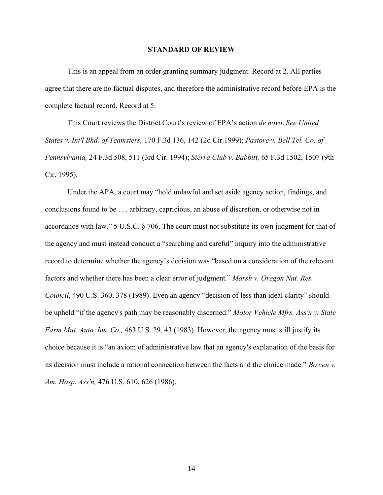#### **STANDARD OF REVIEW**

This is an appeal from an order granting summary judgment. Record at 2. All parties agree that there are no factual disputes, and therefore the administrative record before EPA is the complete factual record. Record at 5.

This Court reviews the District Court's review of EPA's action *de novo*. *See United States v. Int'l Bhd. of Teamsters,* 170 F.3d 136, 142 (2d Cir.1999); *Pastore v. Bell Tel. Co. of Pennsylvania,* 24 F.3d 508, 511 (3rd Cir. 1994); *Sierra Club v. Babbitt,* 65 F.3d 1502, 1507 (9th Cir. 1995).

Under the APA, a court may "hold unlawful and set aside agency action, findings, and conclusions found to be . . . arbitrary, capricious, an abuse of discretion, or otherwise not in accordance with law." 5 U.S.C. § 706. The court must not substitute its own judgment for that of the agency and must instead conduct a "searching and careful" inquiry into the administrative record to determine whether the agency's decision was "based on a consideration of the relevant factors and whether there has been a clear error of judgment." *Marsh v. Oregon Nat. Res. Council*, 490 U.S. 360, 378 (1989). Even an agency "decision of less than ideal clarity" should be upheld "if the agency's path may be reasonably discerned." *Motor Vehicle Mfrs. Ass'n v. State Farm Mut. Auto. Ins. Co.,* 463 U.S. 29, 43 (1983). However, the agency must still justify its choice because it is "an axiom of administrative law that an agency's explanation of the basis for its decision must include a rational connection between the facts and the choice made." *Bowen v. Am. Hosp. Ass'n,* 476 U.S. 610, 626 (1986).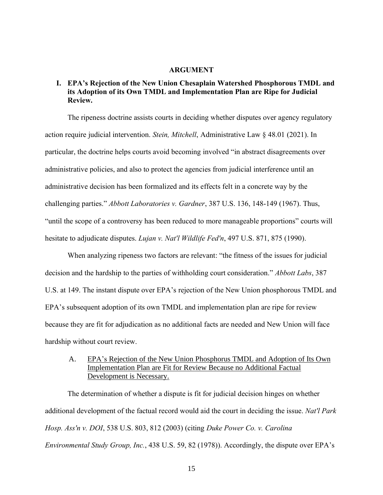#### **ARGUMENT**

### **I. EPA's Rejection of the New Union Chesaplain Watershed Phosphorous TMDL and its Adoption of its Own TMDL and Implementation Plan are Ripe for Judicial Review.**

The ripeness doctrine assists courts in deciding whether disputes over agency regulatory action require judicial intervention. *Stein, Mitchell*, Administrative Law § 48.01 (2021). In particular, the doctrine helps courts avoid becoming involved "in abstract disagreements over administrative policies, and also to protect the agencies from judicial interference until an administrative decision has been formalized and its effects felt in a concrete way by the challenging parties." *Abbott Laboratories v. Gardner*, 387 U.S. 136, 148-149 (1967). Thus, "until the scope of a controversy has been reduced to more manageable proportions" courts will hesitate to adjudicate disputes. *Lujan v. Nat'l Wildlife Fed'n*, 497 U.S. 871, 875 (1990).

When analyzing ripeness two factors are relevant: "the fitness of the issues for judicial decision and the hardship to the parties of withholding court consideration." *Abbott Labs*, 387 U.S. at 149. The instant dispute over EPA's rejection of the New Union phosphorous TMDL and EPA's subsequent adoption of its own TMDL and implementation plan are ripe for review because they are fit for adjudication as no additional facts are needed and New Union will face hardship without court review.

A. EPA's Rejection of the New Union Phosphorus TMDL and Adoption of Its Own Implementation Plan are Fit for Review Because no Additional Factual Development is Necessary.

The determination of whether a dispute is fit for judicial decision hinges on whether additional development of the factual record would aid the court in deciding the issue. *Nat'l Park Hosp. Ass'n v. DOI*, 538 U.S. 803, 812 (2003) (citing *Duke Power Co. v. Carolina Environmental Study Group, Inc.*, 438 U.S. 59, 82 (1978)). Accordingly, the dispute over EPA's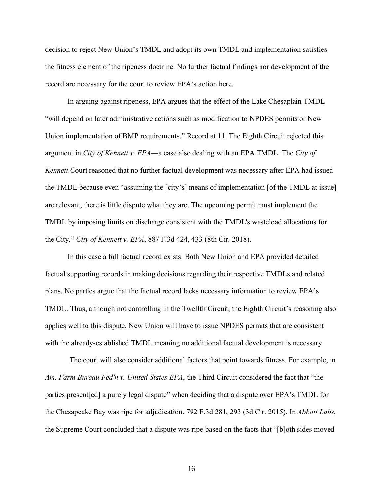decision to reject New Union's TMDL and adopt its own TMDL and implementation satisfies the fitness element of the ripeness doctrine. No further factual findings nor development of the record are necessary for the court to review EPA's action here.

In arguing against ripeness, EPA argues that the effect of the Lake Chesaplain TMDL "will depend on later administrative actions such as modification to NPDES permits or New Union implementation of BMP requirements." Record at 11. The Eighth Circuit rejected this argument in *City of Kennett v. EPA*—a case also dealing with an EPA TMDL. The *City of Kennett C*ourt reasoned that no further factual development was necessary after EPA had issued the TMDL because even "assuming the [city's] means of implementation [of the TMDL at issue] are relevant, there is little dispute what they are. The upcoming permit must implement the TMDL by imposing limits on discharge consistent with the TMDL's wasteload allocations for the City." *City of Kennett v. EPA*, 887 F.3d 424, 433 (8th Cir. 2018).

In this case a full factual record exists. Both New Union and EPA provided detailed factual supporting records in making decisions regarding their respective TMDLs and related plans. No parties argue that the factual record lacks necessary information to review EPA's TMDL. Thus, although not controlling in the Twelfth Circuit, the Eighth Circuit's reasoning also applies well to this dispute. New Union will have to issue NPDES permits that are consistent with the already-established TMDL meaning no additional factual development is necessary.

The court will also consider additional factors that point towards fitness. For example, in *Am. Farm Bureau Fed'n v. United States EPA*, the Third Circuit considered the fact that "the parties present [ed] a purely legal dispute" when deciding that a dispute over EPA's TMDL for the Chesapeake Bay was ripe for adjudication. 792 F.3d 281, 293 (3d Cir. 2015). In *Abbott Labs*, the Supreme Court concluded that a dispute was ripe based on the facts that "[b]oth sides moved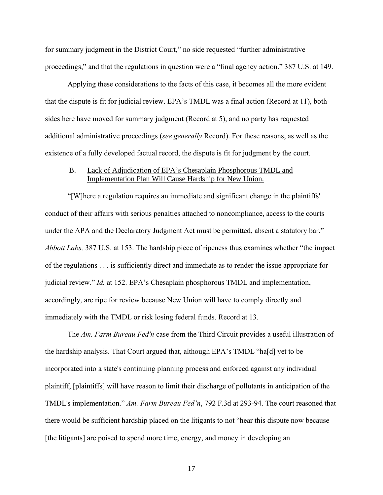for summary judgment in the District Court," no side requested "further administrative proceedings," and that the regulations in question were a "final agency action." 387 U.S. at 149.

Applying these considerations to the facts of this case, it becomes all the more evident that the dispute is fit for judicial review. EPA's TMDL was a final action (Record at 11), both sides here have moved for summary judgment (Record at 5), and no party has requested additional administrative proceedings (*see generally* Record). For these reasons, as well as the existence of a fully developed factual record, the dispute is fit for judgment by the court.

#### B. Lack of Adjudication of EPA's Chesaplain Phosphorous TMDL and Implementation Plan Will Cause Hardship for New Union.

"[W]here a regulation requires an immediate and significant change in the plaintiffs' conduct of their affairs with serious penalties attached to noncompliance, access to the courts under the APA and the Declaratory Judgment Act must be permitted, absent a statutory bar." *Abbott Labs,* 387 U.S. at 153. The hardship piece of ripeness thus examines whether "the impact of the regulations . . . is sufficiently direct and immediate as to render the issue appropriate for judicial review." *Id.* at 152. EPA's Chesaplain phosphorous TMDL and implementation, accordingly, are ripe for review because New Union will have to comply directly and immediately with the TMDL or risk losing federal funds. Record at 13.

The *Am. Farm Bureau Fed'n* case from the Third Circuit provides a useful illustration of the hardship analysis. That Court argued that, although EPA's TMDL "ha[d] yet to be incorporated into a state's continuing planning process and enforced against any individual plaintiff, [plaintiffs] will have reason to limit their discharge of pollutants in anticipation of the TMDL's implementation." *Am. Farm Bureau Fed'n*, 792 F.3d at 293-94. The court reasoned that there would be sufficient hardship placed on the litigants to not "hear this dispute now because [the litigants] are poised to spend more time, energy, and money in developing an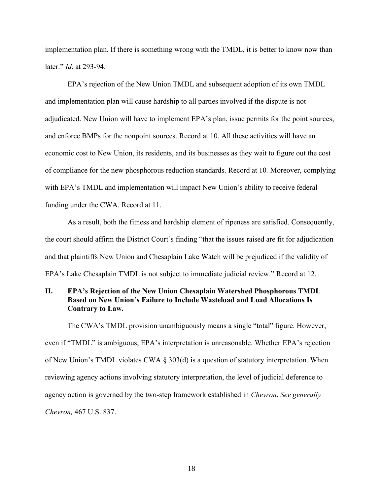implementation plan. If there is something wrong with the TMDL, it is better to know now than later." *Id*. at 293-94.

EPA's rejection of the New Union TMDL and subsequent adoption of its own TMDL and implementation plan will cause hardship to all parties involved if the dispute is not adjudicated. New Union will have to implement EPA's plan, issue permits for the point sources, and enforce BMPs for the nonpoint sources. Record at 10. All these activities will have an economic cost to New Union, its residents, and its businesses as they wait to figure out the cost of compliance for the new phosphorous reduction standards. Record at 10*.* Moreover, complying with EPA's TMDL and implementation will impact New Union's ability to receive federal funding under the CWA. Record at 11.

As a result, both the fitness and hardship element of ripeness are satisfied. Consequently, the court should affirm the District Court's finding "that the issues raised are fit for adjudication and that plaintiffs New Union and Chesaplain Lake Watch will be prejudiced if the validity of EPA's Lake Chesaplain TMDL is not subject to immediate judicial review." Record at 12.

## **II. EPA's Rejection of the New Union Chesaplain Watershed Phosphorous TMDL Based on New Union's Failure to Include Wasteload and Load Allocations Is Contrary to Law.**

The CWA's TMDL provision unambiguously means a single "total" figure. However, even if "TMDL" is ambiguous, EPA's interpretation is unreasonable. Whether EPA's rejection of New Union's TMDL violates CWA § 303(d) is a question of statutory interpretation. When reviewing agency actions involving statutory interpretation, the level of judicial deference to agency action is governed by the two-step framework established in *Chevron*. *See generally Chevron,* 467 U.S. 837.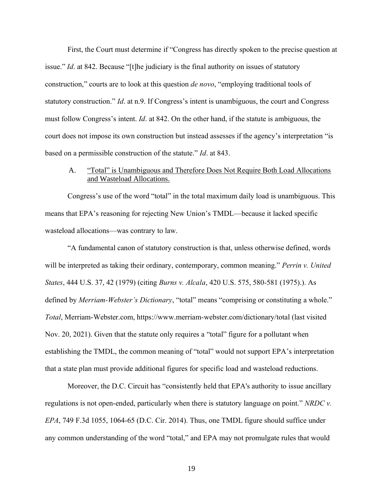First, the Court must determine if "Congress has directly spoken to the precise question at issue." *Id*. at 842. Because "[t]he judiciary is the final authority on issues of statutory construction," courts are to look at this question *de novo*, "employing traditional tools of statutory construction." *Id*. at n.9. If Congress's intent is unambiguous, the court and Congress must follow Congress's intent. *Id*. at 842. On the other hand, if the statute is ambiguous, the court does not impose its own construction but instead assesses if the agency's interpretation "is based on a permissible construction of the statute." *Id*. at 843.

### A. "Total" is Unambiguous and Therefore Does Not Require Both Load Allocations and Wasteload Allocations.

Congress's use of the word "total" in the total maximum daily load is unambiguous. This means that EPA's reasoning for rejecting New Union's TMDL—because it lacked specific wasteload allocations—was contrary to law.

"A fundamental canon of statutory construction is that, unless otherwise defined, words will be interpreted as taking their ordinary, contemporary, common meaning." *Perrin v. United States*, 444 U.S. 37, 42 (1979) (citing *Burns v. Alcala*, 420 U.S. 575, 580-581 (1975).). As defined by *Merriam-Webster's Dictionary*, "total" means "comprising or constituting a whole." *Total*, Merriam-Webster.com, https://www.merriam-webster.com/dictionary/total (last visited Nov. 20, 2021). Given that the statute only requires a "total" figure for a pollutant when establishing the TMDL, the common meaning of "total" would not support EPA's interpretation that a state plan must provide additional figures for specific load and wasteload reductions.

Moreover, the D.C. Circuit has "consistently held that EPA's authority to issue ancillary regulations is not open-ended, particularly when there is statutory language on point." *NRDC v. EPA*, 749 F.3d 1055, 1064-65 (D.C. Cir. 2014). Thus, one TMDL figure should suffice under any common understanding of the word "total," and EPA may not promulgate rules that would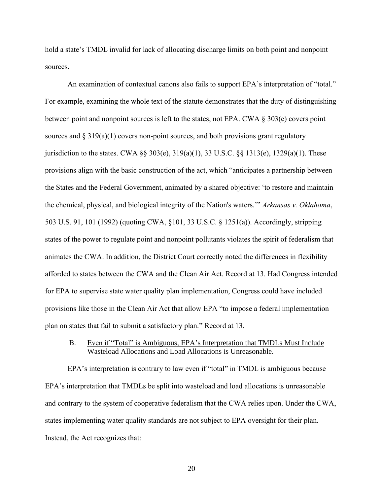hold a state's TMDL invalid for lack of allocating discharge limits on both point and nonpoint sources.

An examination of contextual canons also fails to support EPA's interpretation of "total." For example, examining the whole text of the statute demonstrates that the duty of distinguishing between point and nonpoint sources is left to the states, not EPA. CWA § 303(e) covers point sources and  $\S 319(a)(1)$  covers non-point sources, and both provisions grant regulatory jurisdiction to the states. CWA  $\S 303(e)$ ,  $319(a)(1)$ ,  $33 \text{ U.S.C.}$   $\S 8 \ 1313(e)$ ,  $1329(a)(1)$ . These provisions align with the basic construction of the act, which "anticipates a partnership between the States and the Federal Government, animated by a shared objective: 'to restore and maintain the chemical, physical, and biological integrity of the Nation's waters.'" *Arkansas v. Oklahoma*, 503 U.S. 91, 101 (1992) (quoting CWA, §101, 33 U.S.C. § 1251(a)). Accordingly, stripping states of the power to regulate point and nonpoint pollutants violates the spirit of federalism that animates the CWA. In addition, the District Court correctly noted the differences in flexibility afforded to states between the CWA and the Clean Air Act. Record at 13. Had Congress intended for EPA to supervise state water quality plan implementation, Congress could have included provisions like those in the Clean Air Act that allow EPA "to impose a federal implementation plan on states that fail to submit a satisfactory plan." Record at 13.

#### B. Even if "Total" is Ambiguous, EPA's Interpretation that TMDLs Must Include Wasteload Allocations and Load Allocations is Unreasonable.

EPA's interpretation is contrary to law even if "total" in TMDL is ambiguous because EPA's interpretation that TMDLs be split into wasteload and load allocations is unreasonable and contrary to the system of cooperative federalism that the CWA relies upon. Under the CWA, states implementing water quality standards are not subject to EPA oversight for their plan. Instead, the Act recognizes that: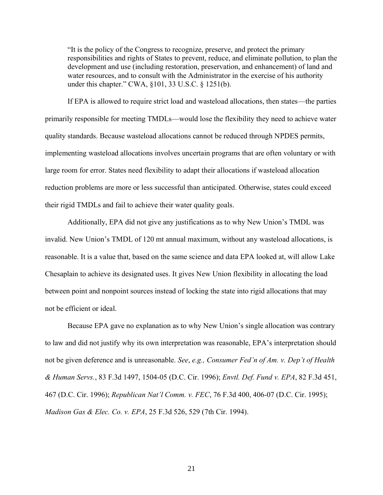"It is the policy of the Congress to recognize, preserve, and protect the primary responsibilities and rights of States to prevent, reduce, and eliminate pollution, to plan the development and use (including restoration, preservation, and enhancement) of land and water resources, and to consult with the Administrator in the exercise of his authority under this chapter." CWA, §101, 33 U.S.C. § 1251(b).

If EPA is allowed to require strict load and wasteload allocations, then states—the parties primarily responsible for meeting TMDLs—would lose the flexibility they need to achieve water quality standards. Because wasteload allocations cannot be reduced through NPDES permits, implementing wasteload allocations involves uncertain programs that are often voluntary or with large room for error. States need flexibility to adapt their allocations if wasteload allocation reduction problems are more or less successful than anticipated. Otherwise, states could exceed their rigid TMDLs and fail to achieve their water quality goals.

Additionally, EPA did not give any justifications as to why New Union's TMDL was invalid. New Union's TMDL of 120 mt annual maximum, without any wasteload allocations, is reasonable. It is a value that, based on the same science and data EPA looked at, will allow Lake Chesaplain to achieve its designated uses. It gives New Union flexibility in allocating the load between point and nonpoint sources instead of locking the state into rigid allocations that may not be efficient or ideal.

Because EPA gave no explanation as to why New Union's single allocation was contrary to law and did not justify why its own interpretation was reasonable, EPA's interpretation should not be given deference and is unreasonable. *See*, *e.g., Consumer Fed'n of Am. v. Dep't of Health & Human Servs.*, 83 F.3d 1497, 1504-05 (D.C. Cir. 1996); *Envtl. Def. Fund v. EPA*, 82 F.3d 451, 467 (D.C. Cir. 1996); *Republican Nat'l Comm. v. FEC*, 76 F.3d 400, 406-07 (D.C. Cir. 1995); *Madison Gas & Elec. Co. v. EPA*, 25 F.3d 526, 529 (7th Cir. 1994).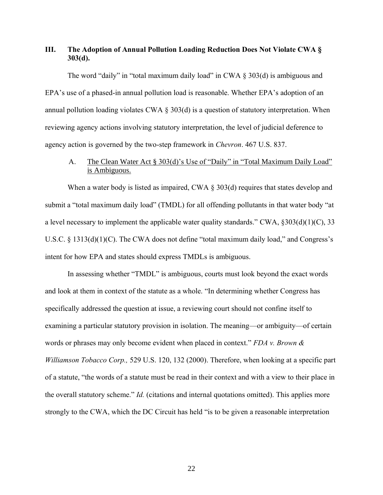## **III. The Adoption of Annual Pollution Loading Reduction Does Not Violate CWA § 303(d).**

The word "daily" in "total maximum daily load" in CWA  $\S$  303(d) is ambiguous and EPA's use of a phased-in annual pollution load is reasonable. Whether EPA's adoption of an annual pollution loading violates CWA § 303(d) is a question of statutory interpretation. When reviewing agency actions involving statutory interpretation, the level of judicial deference to agency action is governed by the two-step framework in *Chevron*. 467 U.S. 837.

## A. The Clean Water Act § 303(d)'s Use of "Daily" in "Total Maximum Daily Load" is Ambiguous.

When a water body is listed as impaired, CWA § 303(d) requires that states develop and submit a "total maximum daily load" (TMDL) for all offending pollutants in that water body "at a level necessary to implement the applicable water quality standards." CWA,  $\S 303(d)(1)(C)$ , 33 U.S.C. § 1313(d)(1)(C). The CWA does not define "total maximum daily load," and Congress's intent for how EPA and states should express TMDLs is ambiguous.

In assessing whether "TMDL" is ambiguous, courts must look beyond the exact words and look at them in context of the statute as a whole. "In determining whether Congress has specifically addressed the question at issue, a reviewing court should not confine itself to examining a particular statutory provision in isolation. The meaning—or ambiguity—of certain words or phrases may only become evident when placed in context." *FDA v. Brown & Williamson Tobacco Corp.,* 529 U.S. 120, 132 (2000). Therefore, when looking at a specific part of a statute, "the words of a statute must be read in their context and with a view to their place in the overall statutory scheme." *Id.* (citations and internal quotations omitted). This applies more strongly to the CWA, which the DC Circuit has held "is to be given a reasonable interpretation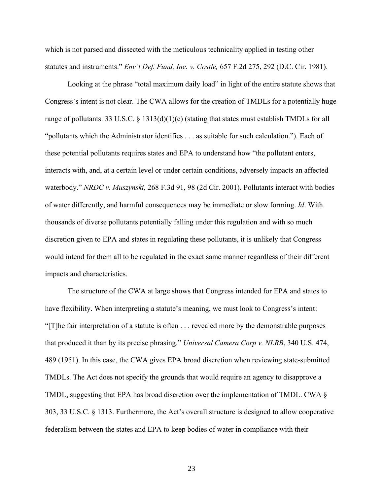which is not parsed and dissected with the meticulous technicality applied in testing other statutes and instruments." *Env't Def. Fund, Inc. v. Costle,* 657 F.2d 275, 292 (D.C. Cir. 1981).

Looking at the phrase "total maximum daily load" in light of the entire statute shows that Congress's intent is not clear. The CWA allows for the creation of TMDLs for a potentially huge range of pollutants. 33 U.S.C. § 1313(d)(1)(c) (stating that states must establish TMDLs for all "pollutants which the Administrator identifies . . . as suitable for such calculation."). Each of these potential pollutants requires states and EPA to understand how "the pollutant enters, interacts with, and, at a certain level or under certain conditions, adversely impacts an affected waterbody." *NRDC v. Muszynski,* 268 F.3d 91, 98 (2d Cir. 2001). Pollutants interact with bodies of water differently, and harmful consequences may be immediate or slow forming. *Id*. With thousands of diverse pollutants potentially falling under this regulation and with so much discretion given to EPA and states in regulating these pollutants, it is unlikely that Congress would intend for them all to be regulated in the exact same manner regardless of their different impacts and characteristics.

The structure of the CWA at large shows that Congress intended for EPA and states to have flexibility. When interpreting a statute's meaning, we must look to Congress's intent: "[T]he fair interpretation of a statute is often . . . revealed more by the demonstrable purposes that produced it than by its precise phrasing." *Universal Camera Corp v. NLRB*, 340 U.S. 474, 489 (1951). In this case, the CWA gives EPA broad discretion when reviewing state-submitted TMDLs. The Act does not specify the grounds that would require an agency to disapprove a TMDL, suggesting that EPA has broad discretion over the implementation of TMDL. CWA § 303, 33 U.S.C. § 1313. Furthermore, the Act's overall structure is designed to allow cooperative federalism between the states and EPA to keep bodies of water in compliance with their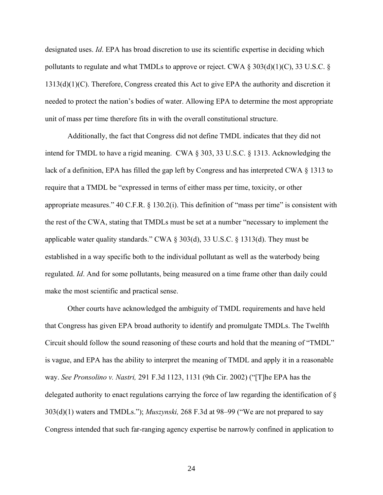designated uses. *Id*. EPA has broad discretion to use its scientific expertise in deciding which pollutants to regulate and what TMDLs to approve or reject. CWA §  $303(d)(1)(C)$ , 33 U.S.C. §  $1313(d)(1)(C)$ . Therefore, Congress created this Act to give EPA the authority and discretion it needed to protect the nation's bodies of water. Allowing EPA to determine the most appropriate unit of mass per time therefore fits in with the overall constitutional structure.

Additionally, the fact that Congress did not define TMDL indicates that they did not intend for TMDL to have a rigid meaning. CWA § 303, 33 U.S.C. § 1313. Acknowledging the lack of a definition, EPA has filled the gap left by Congress and has interpreted CWA § 1313 to require that a TMDL be "expressed in terms of either mass per time, toxicity, or other appropriate measures." 40 C.F.R. § 130.2(i). This definition of "mass per time" is consistent with the rest of the CWA, stating that TMDLs must be set at a number "necessary to implement the applicable water quality standards." CWA § 303(d), 33 U.S.C. § 1313(d). They must be established in a way specific both to the individual pollutant as well as the waterbody being regulated. *Id*. And for some pollutants, being measured on a time frame other than daily could make the most scientific and practical sense.

Other courts have acknowledged the ambiguity of TMDL requirements and have held that Congress has given EPA broad authority to identify and promulgate TMDLs. The Twelfth Circuit should follow the sound reasoning of these courts and hold that the meaning of "TMDL" is vague, and EPA has the ability to interpret the meaning of TMDL and apply it in a reasonable way. *See Pronsolino v. Nastri,* 291 F.3d 1123, 1131 (9th Cir. 2002) ("[T]he EPA has the delegated authority to enact regulations carrying the force of law regarding the identification of § 303(d)(1) waters and TMDLs."); *Muszynski,* 268 F.3d at 98–99 ("We are not prepared to say Congress intended that such far-ranging agency expertise be narrowly confined in application to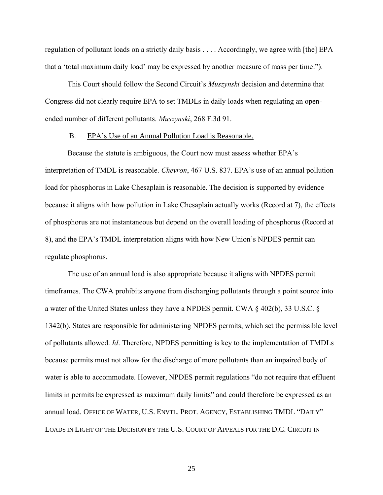regulation of pollutant loads on a strictly daily basis . . . . Accordingly, we agree with [the] EPA that a 'total maximum daily load' may be expressed by another measure of mass per time.").

This Court should follow the Second Circuit's *Muszynski* decision and determine that Congress did not clearly require EPA to set TMDLs in daily loads when regulating an openended number of different pollutants. *Muszynski*, 268 F.3d 91.

#### B. EPA's Use of an Annual Pollution Load is Reasonable.

Because the statute is ambiguous, the Court now must assess whether EPA's interpretation of TMDL is reasonable. *Chevron*, 467 U.S. 837. EPA's use of an annual pollution load for phosphorus in Lake Chesaplain is reasonable. The decision is supported by evidence because it aligns with how pollution in Lake Chesaplain actually works (Record at 7), the effects of phosphorus are not instantaneous but depend on the overall loading of phosphorus (Record at 8), and the EPA's TMDL interpretation aligns with how New Union's NPDES permit can regulate phosphorus.

The use of an annual load is also appropriate because it aligns with NPDES permit timeframes. The CWA prohibits anyone from discharging pollutants through a point source into a water of the United States unless they have a NPDES permit. CWA § 402(b), 33 U.S.C. § 1342(b). States are responsible for administering NPDES permits, which set the permissible level of pollutants allowed. *Id*. Therefore, NPDES permitting is key to the implementation of TMDLs because permits must not allow for the discharge of more pollutants than an impaired body of water is able to accommodate. However, NPDES permit regulations "do not require that effluent limits in permits be expressed as maximum daily limits" and could therefore be expressed as an annual load. OFFICE OF WATER, U.S. ENVTL. PROT. AGENCY, ESTABLISHING TMDL "DAILY" LOADS IN LIGHT OF THE DECISION BY THE U.S. COURT OF APPEALS FOR THE D.C. CIRCUIT IN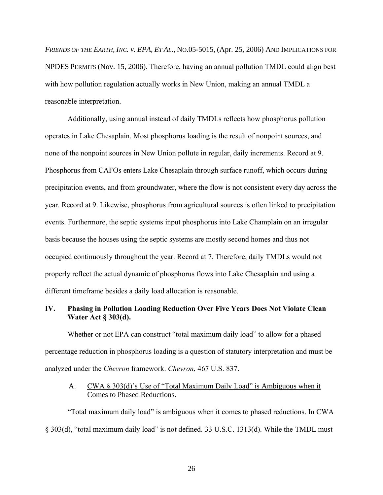*FRIENDS OF THE EARTH, INC. V. EPA, ET AL.*, NO.05-5015, (Apr. 25, 2006) AND IMPLICATIONS FOR NPDES PERMITS (Nov. 15, 2006). Therefore, having an annual pollution TMDL could align best with how pollution regulation actually works in New Union, making an annual TMDL a reasonable interpretation.

Additionally, using annual instead of daily TMDLs reflects how phosphorus pollution operates in Lake Chesaplain. Most phosphorus loading is the result of nonpoint sources, and none of the nonpoint sources in New Union pollute in regular, daily increments. Record at 9. Phosphorus from CAFOs enters Lake Chesaplain through surface runoff, which occurs during precipitation events, and from groundwater, where the flow is not consistent every day across the year. Record at 9. Likewise, phosphorus from agricultural sources is often linked to precipitation events. Furthermore, the septic systems input phosphorus into Lake Champlain on an irregular basis because the houses using the septic systems are mostly second homes and thus not occupied continuously throughout the year. Record at 7. Therefore, daily TMDLs would not properly reflect the actual dynamic of phosphorus flows into Lake Chesaplain and using a different timeframe besides a daily load allocation is reasonable.

### **IV. Phasing in Pollution Loading Reduction Over Five Years Does Not Violate Clean Water Act § 303(d).**

Whether or not EPA can construct "total maximum daily load" to allow for a phased percentage reduction in phosphorus loading is a question of statutory interpretation and must be analyzed under the *Chevron* framework. *Chevron*, 467 U.S. 837.

#### A. CWA § 303(d)'s Use of "Total Maximum Daily Load" is Ambiguous when it Comes to Phased Reductions.

"Total maximum daily load" is ambiguous when it comes to phased reductions. In CWA § 303(d), "total maximum daily load" is not defined. 33 U.S.C. 1313(d). While the TMDL must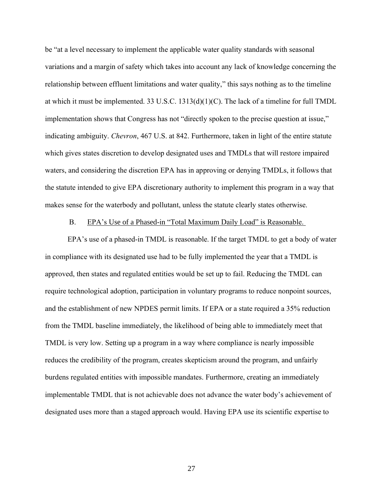be "at a level necessary to implement the applicable water quality standards with seasonal variations and a margin of safety which takes into account any lack of knowledge concerning the relationship between effluent limitations and water quality," this says nothing as to the timeline at which it must be implemented. 33 U.S.C. 1313(d)(1)(C). The lack of a timeline for full TMDL implementation shows that Congress has not "directly spoken to the precise question at issue," indicating ambiguity. *Chevron*, 467 U.S. at 842. Furthermore, taken in light of the entire statute which gives states discretion to develop designated uses and TMDLs that will restore impaired waters, and considering the discretion EPA has in approving or denying TMDLs, it follows that the statute intended to give EPA discretionary authority to implement this program in a way that makes sense for the waterbody and pollutant, unless the statute clearly states otherwise.

#### B. EPA's Use of a Phased-in "Total Maximum Daily Load" is Reasonable.

EPA's use of a phased-in TMDL is reasonable. If the target TMDL to get a body of water in compliance with its designated use had to be fully implemented the year that a TMDL is approved, then states and regulated entities would be set up to fail. Reducing the TMDL can require technological adoption, participation in voluntary programs to reduce nonpoint sources, and the establishment of new NPDES permit limits. If EPA or a state required a 35% reduction from the TMDL baseline immediately, the likelihood of being able to immediately meet that TMDL is very low. Setting up a program in a way where compliance is nearly impossible reduces the credibility of the program, creates skepticism around the program, and unfairly burdens regulated entities with impossible mandates. Furthermore, creating an immediately implementable TMDL that is not achievable does not advance the water body's achievement of designated uses more than a staged approach would. Having EPA use its scientific expertise to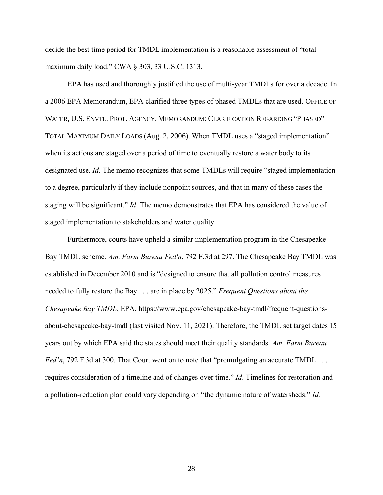decide the best time period for TMDL implementation is a reasonable assessment of "total maximum daily load." CWA § 303, 33 U.S.C. 1313.

EPA has used and thoroughly justified the use of multi-year TMDLs for over a decade. In a 2006 EPA Memorandum, EPA clarified three types of phased TMDLs that are used. OFFICE OF WATER, U.S. ENVTL. PROT. AGENCY, MEMORANDUM: CLARIFICATION REGARDING "PHASED" TOTAL MAXIMUM DAILY LOADS (Aug. 2, 2006). When TMDL uses a "staged implementation" when its actions are staged over a period of time to eventually restore a water body to its designated use. *Id*. The memo recognizes that some TMDLs will require "staged implementation to a degree, particularly if they include nonpoint sources, and that in many of these cases the staging will be significant." *Id*. The memo demonstrates that EPA has considered the value of staged implementation to stakeholders and water quality.

Furthermore, courts have upheld a similar implementation program in the Chesapeake Bay TMDL scheme. *Am. Farm Bureau Fed'n*, 792 F.3d at 297. The Chesapeake Bay TMDL was established in December 2010 and is "designed to ensure that all pollution control measures needed to fully restore the Bay . . . are in place by 2025." *Frequent Questions about the Chesapeake Bay TMDL*, EPA, https://www.epa.gov/chesapeake-bay-tmdl/frequent-questionsabout-chesapeake-bay-tmdl (last visited Nov. 11, 2021). Therefore, the TMDL set target dates 15 years out by which EPA said the states should meet their quality standards. *Am. Farm Bureau Fed'n*, 792 F.3d at 300. That Court went on to note that "promulgating an accurate TMDL . . . requires consideration of a timeline and of changes over time." *Id*. Timelines for restoration and a pollution-reduction plan could vary depending on "the dynamic nature of watersheds." *Id.*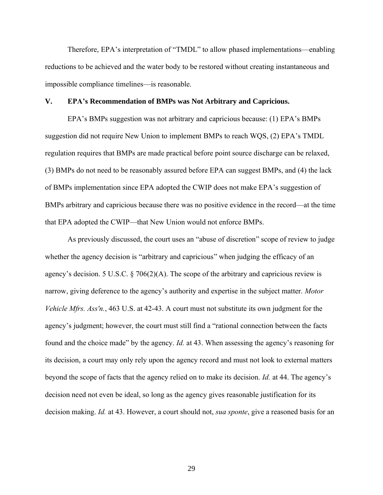Therefore, EPA's interpretation of "TMDL" to allow phased implementations—enabling reductions to be achieved and the water body to be restored without creating instantaneous and impossible compliance timelines—is reasonable.

#### **V. EPA's Recommendation of BMPs was Not Arbitrary and Capricious.**

EPA's BMPs suggestion was not arbitrary and capricious because: (1) EPA's BMPs suggestion did not require New Union to implement BMPs to reach WQS, (2) EPA's TMDL regulation requires that BMPs are made practical before point source discharge can be relaxed, (3) BMPs do not need to be reasonably assured before EPA can suggest BMPs, and (4) the lack of BMPs implementation since EPA adopted the CWIP does not make EPA's suggestion of BMPs arbitrary and capricious because there was no positive evidence in the record—at the time that EPA adopted the CWIP—that New Union would not enforce BMPs.

As previously discussed, the court uses an "abuse of discretion" scope of review to judge whether the agency decision is "arbitrary and capricious" when judging the efficacy of an agency's decision. 5 U.S.C.  $\S 706(2)(A)$ . The scope of the arbitrary and capricious review is narrow, giving deference to the agency's authority and expertise in the subject matter. *Motor Vehicle Mfrs. Ass'n.*, 463 U.S. at 42-43. A court must not substitute its own judgment for the agency's judgment; however, the court must still find a "rational connection between the facts found and the choice made" by the agency. *Id.* at 43. When assessing the agency's reasoning for its decision, a court may only rely upon the agency record and must not look to external matters beyond the scope of facts that the agency relied on to make its decision. *Id.* at 44. The agency's decision need not even be ideal, so long as the agency gives reasonable justification for its decision making. *Id.* at 43. However, a court should not, *sua sponte*, give a reasoned basis for an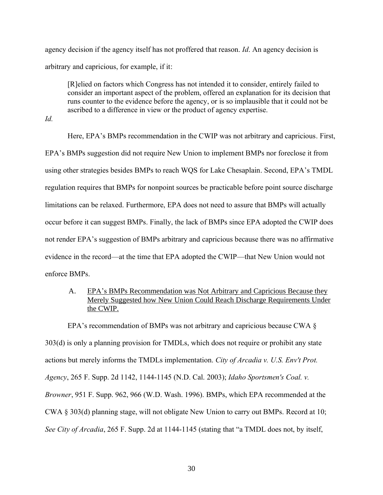agency decision if the agency itself has not proffered that reason. *Id*. An agency decision is arbitrary and capricious, for example, if it:

[R]elied on factors which Congress has not intended it to consider, entirely failed to consider an important aspect of the problem, offered an explanation for its decision that runs counter to the evidence before the agency, or is so implausible that it could not be ascribed to a difference in view or the product of agency expertise.

*Id.* 

Here, EPA's BMPs recommendation in the CWIP was not arbitrary and capricious. First, EPA's BMPs suggestion did not require New Union to implement BMPs nor foreclose it from using other strategies besides BMPs to reach WQS for Lake Chesaplain. Second, EPA's TMDL regulation requires that BMPs for nonpoint sources be practicable before point source discharge limitations can be relaxed. Furthermore, EPA does not need to assure that BMPs will actually occur before it can suggest BMPs. Finally, the lack of BMPs since EPA adopted the CWIP does not render EPA's suggestion of BMPs arbitrary and capricious because there was no affirmative evidence in the record—at the time that EPA adopted the CWIP—that New Union would not enforce BMPs.

A. EPA's BMPs Recommendation was Not Arbitrary and Capricious Because they Merely Suggested how New Union Could Reach Discharge Requirements Under the CWIP.

EPA's recommendation of BMPs was not arbitrary and capricious because CWA § 303(d) is only a planning provision for TMDLs, which does not require or prohibit any state actions but merely informs the TMDLs implementation. *City of Arcadia v. U.S. Env't Prot. Agency*, 265 F. Supp. 2d 1142, 1144-1145 (N.D. Cal. 2003); *Idaho Sportsmen's Coal. v. Browner*, 951 F. Supp. 962, 966 (W.D. Wash. 1996). BMPs, which EPA recommended at the CWA § 303(d) planning stage, will not obligate New Union to carry out BMPs. Record at 10; *See City of Arcadia*, 265 F. Supp. 2d at 1144-1145 (stating that "a TMDL does not, by itself,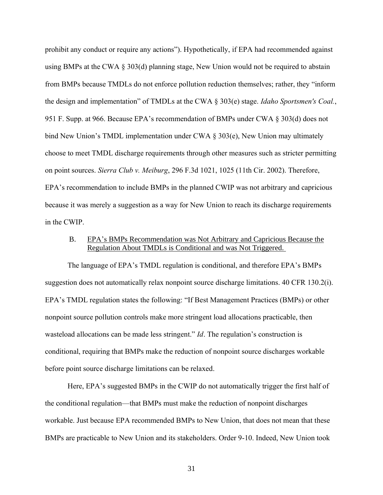prohibit any conduct or require any actions"). Hypothetically, if EPA had recommended against using BMPs at the CWA § 303(d) planning stage, New Union would not be required to abstain from BMPs because TMDLs do not enforce pollution reduction themselves; rather, they "inform the design and implementation" of TMDLs at the CWA § 303(e) stage. *Idaho Sportsmen's Coal.*, 951 F. Supp. at 966. Because EPA's recommendation of BMPs under CWA § 303(d) does not bind New Union's TMDL implementation under CWA § 303(e), New Union may ultimately choose to meet TMDL discharge requirements through other measures such as stricter permitting on point sources. *Sierra Club v. Meiburg*, 296 F.3d 1021, 1025 (11th Cir. 2002). Therefore, EPA's recommendation to include BMPs in the planned CWIP was not arbitrary and capricious because it was merely a suggestion as a way for New Union to reach its discharge requirements in the CWIP.

### B. EPA's BMPs Recommendation was Not Arbitrary and Capricious Because the Regulation About TMDLs is Conditional and was Not Triggered.

The language of EPA's TMDL regulation is conditional, and therefore EPA's BMPs suggestion does not automatically relax nonpoint source discharge limitations. 40 CFR 130.2(i). EPA's TMDL regulation states the following: "If Best Management Practices (BMPs) or other nonpoint source pollution controls make more stringent load allocations practicable, then wasteload allocations can be made less stringent." *Id*. The regulation's construction is conditional, requiring that BMPs make the reduction of nonpoint source discharges workable before point source discharge limitations can be relaxed.

Here, EPA's suggested BMPs in the CWIP do not automatically trigger the first half of the conditional regulation—that BMPs must make the reduction of nonpoint discharges workable. Just because EPA recommended BMPs to New Union, that does not mean that these BMPs are practicable to New Union and its stakeholders. Order 9-10. Indeed, New Union took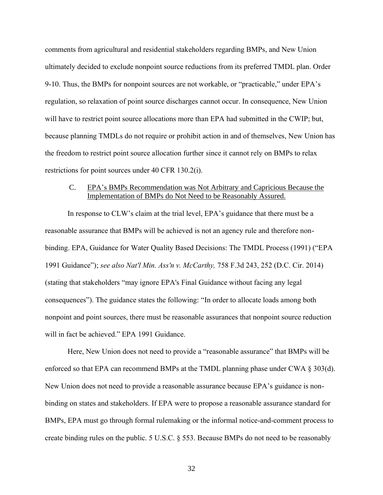comments from agricultural and residential stakeholders regarding BMPs, and New Union ultimately decided to exclude nonpoint source reductions from its preferred TMDL plan. Order 9-10. Thus, the BMPs for nonpoint sources are not workable, or "practicable," under EPA's regulation, so relaxation of point source discharges cannot occur. In consequence, New Union will have to restrict point source allocations more than EPA had submitted in the CWIP; but, because planning TMDLs do not require or prohibit action in and of themselves, New Union has the freedom to restrict point source allocation further since it cannot rely on BMPs to relax restrictions for point sources under 40 CFR 130.2(i).

### C. EPA's BMPs Recommendation was Not Arbitrary and Capricious Because the Implementation of BMPs do Not Need to be Reasonably Assured.

In response to CLW's claim at the trial level, EPA's guidance that there must be a reasonable assurance that BMPs will be achieved is not an agency rule and therefore nonbinding. EPA, Guidance for Water Quality Based Decisions: The TMDL Process (1991) ("EPA 1991 Guidance"); *see also Nat'l Min. Ass'n v. McCarthy,* 758 F.3d 243, 252 (D.C. Cir. 2014) (stating that stakeholders "may ignore EPA's Final Guidance without facing any legal consequences"). The guidance states the following: "In order to allocate loads among both nonpoint and point sources, there must be reasonable assurances that nonpoint source reduction will in fact be achieved." EPA 1991 Guidance.

Here, New Union does not need to provide a "reasonable assurance" that BMPs will be enforced so that EPA can recommend BMPs at the TMDL planning phase under CWA § 303(d). New Union does not need to provide a reasonable assurance because EPA's guidance is nonbinding on states and stakeholders. If EPA were to propose a reasonable assurance standard for BMPs, EPA must go through formal rulemaking or the informal notice-and-comment process to create binding rules on the public. 5 U.S.C. § 553. Because BMPs do not need to be reasonably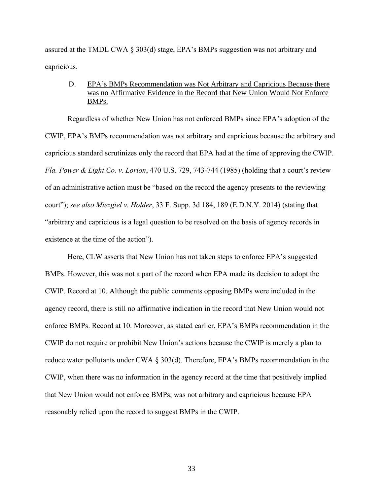assured at the TMDL CWA § 303(d) stage, EPA's BMPs suggestion was not arbitrary and capricious.

### D. EPA's BMPs Recommendation was Not Arbitrary and Capricious Because there was no Affirmative Evidence in the Record that New Union Would Not Enforce BMPs.

Regardless of whether New Union has not enforced BMPs since EPA's adoption of the CWIP, EPA's BMPs recommendation was not arbitrary and capricious because the arbitrary and capricious standard scrutinizes only the record that EPA had at the time of approving the CWIP. *Fla. Power & Light Co. v. Lorion*, 470 U.S. 729, 743-744 (1985) (holding that a court's review of an administrative action must be "based on the record the agency presents to the reviewing court"); *see also Miezgiel v. Holder*, 33 F. Supp. 3d 184, 189 (E.D.N.Y. 2014) (stating that "arbitrary and capricious is a legal question to be resolved on the basis of agency records in existence at the time of the action").

Here, CLW asserts that New Union has not taken steps to enforce EPA's suggested BMPs. However, this was not a part of the record when EPA made its decision to adopt the CWIP. Record at 10. Although the public comments opposing BMPs were included in the agency record, there is still no affirmative indication in the record that New Union would not enforce BMPs. Record at 10. Moreover, as stated earlier, EPA's BMPs recommendation in the CWIP do not require or prohibit New Union's actions because the CWIP is merely a plan to reduce water pollutants under CWA § 303(d). Therefore, EPA's BMPs recommendation in the CWIP, when there was no information in the agency record at the time that positively implied that New Union would not enforce BMPs, was not arbitrary and capricious because EPA reasonably relied upon the record to suggest BMPs in the CWIP.